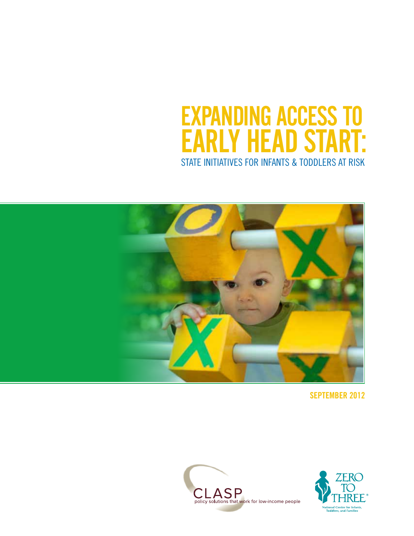## Expanding access to **ARLY HEAD START:** State Initiatives for Infants & Toddlers at Risk



**september 2012**



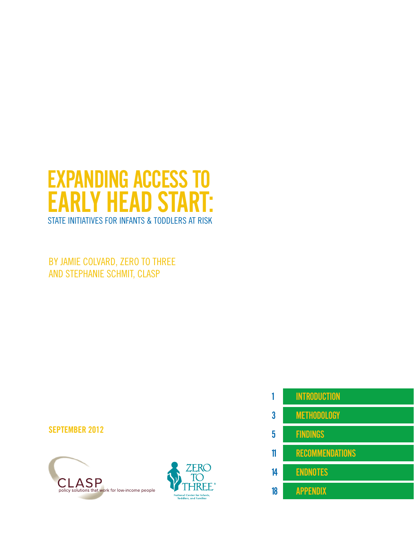## Expanding access to **EARLY HEAD STA** State Initiatives for Infants & Toddlers at Risk

by Jamie Colvard, Zero to three and Stephanie Schmit, CLASP

#### **september 2012**





### 1 introduction

- 3 methodology
- 5 findings
- 11 recommendations
- 14 endnotes
- 18 appendix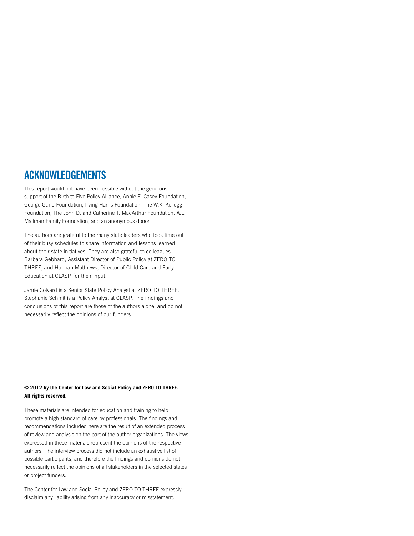### **Acknowledgements**

This report would not have been possible without the generous support of the Birth to Five Policy Alliance, Annie E. Casey Foundation, George Gund Foundation, Irving Harris Foundation, The W.K. Kellogg Foundation, The John D. and Catherine T. MacArthur Foundation, A.L. Mailman Family Foundation, and an anonymous donor.

The authors are grateful to the many state leaders who took time out of their busy schedules to share information and lessons learned about their state initiatives. They are also grateful to colleagues Barbara Gebhard, Assistant Director of Public Policy at ZERO TO THREE, and Hannah Matthews, Director of Child Care and Early Education at CLASP, for their input.

Jamie Colvard is a Senior State Policy Analyst at ZERO TO THREE. Stephanie Schmit is a Policy Analyst at CLASP. The findings and conclusions of this report are those of the authors alone, and do not necessarily reflect the opinions of our funders.

#### **© 2012 by the Center for Law and Social Policy and ZERO TO THREE. All rights reserved.**

These materials are intended for education and training to help promote a high standard of care by professionals. The findings and recommendations included here are the result of an extended process of review and analysis on the part of the author organizations. The views expressed in these materials represent the opinions of the respective authors. The interview process did not include an exhaustive list of possible participants, and therefore the findings and opinions do not necessarily reflect the opinions of all stakeholders in the selected states or project funders.

The Center for Law and Social Policy and ZERO TO THREE expressly disclaim any liability arising from any inaccuracy or misstatement.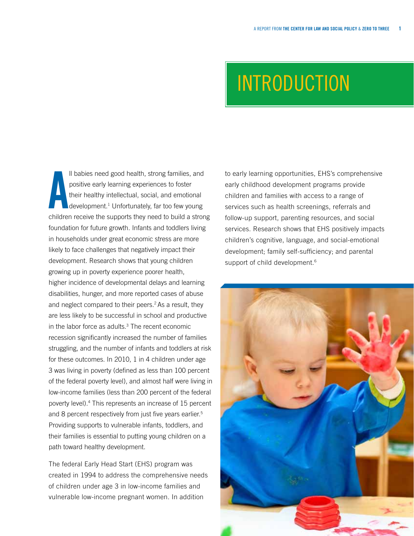## **INTRODUCTION**

**A**<br>Children ll babies need good health, strong families, and positive early learning experiences to foster their healthy intellectual, social, and emotional development.<sup>1</sup> Unfortunately, far too few young children receive the supports they need to build a strong foundation for future growth. Infants and toddlers living in households under great economic stress are more likely to face challenges that negatively impact their development. Research shows that young children growing up in poverty experience poorer health, higher incidence of developmental delays and learning disabilities, hunger, and more reported cases of abuse and neglect compared to their peers.<sup>2</sup> As a result, they are less likely to be successful in school and productive in the labor force as adults. $3$  The recent economic recession significantly increased the number of families struggling, and the number of infants and toddlers at risk for these outcomes. In 2010, 1 in 4 children under age 3 was living in poverty (defined as less than 100 percent of the federal poverty level), and almost half were living in low-income families (less than 200 percent of the federal poverty level).4 This represents an increase of 15 percent and 8 percent respectively from just five years earlier.<sup>5</sup> Providing supports to vulnerable infants, toddlers, and their families is essential to putting young children on a path toward healthy development.

The federal Early Head Start (EHS) program was created in 1994 to address the comprehensive needs of children under age 3 in low-income families and vulnerable low-income pregnant women. In addition

to early learning opportunities, EHS's comprehensive early childhood development programs provide children and families with access to a range of services such as health screenings, referrals and follow-up support, parenting resources, and social services. Research shows that EHS positively impacts children's cognitive, language, and social-emotional development; family self-sufficiency; and parental support of child development.<sup>6</sup>

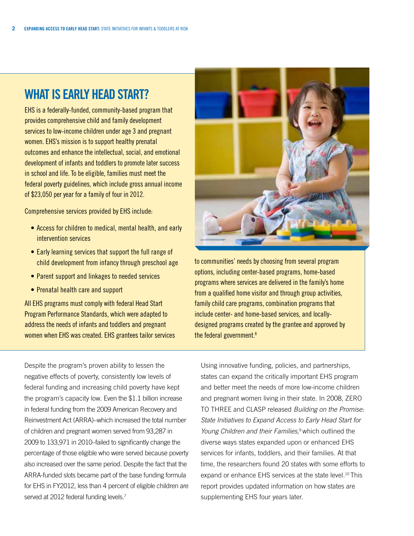## **What is Early Head Start?**

EHS is a federally-funded, community-based program that provides comprehensive child and family development services to low-income children under age 3 and pregnant women. EHS's mission is to support healthy prenatal outcomes and enhance the intellectual, social, and emotional development of infants and toddlers to promote later success in school and life. To be eligible, families must meet the federal poverty guidelines, which include gross annual income of \$23,050 per year for a family of four in 2012.

Comprehensive services provided by EHS include:

- Access for children to medical, mental health, and early intervention services
- Early learning services that support the full range of child development from infancy through preschool age
- Parent support and linkages to needed services
- Prenatal health care and support

All EHS programs must comply with federal Head Start Program Performance Standards, which were adapted to address the needs of infants and toddlers and pregnant women when EHS was created. EHS grantees tailor services

Despite the program's proven ability to lessen the negative effects of poverty, consistently low levels of federal funding and increasing child poverty have kept the program's capacity low. Even the \$1.1 billion increase in federal funding from the 2009 American Recovery and Reinvestment Act (ARRA)–which increased the total number of children and pregnant women served from 93,287 in 2009 to 133,971 in 2010–failed to significantly change the percentage of those eligible who were served because poverty also increased over the same period. Despite the fact that the ARRA-funded slots became part of the base funding formula for EHS in FY2012, less than 4 percent of eligible children are served at 2012 federal funding levels.<sup>7</sup>



to communities' needs by choosing from several program options, including center-based programs, home-based programs where services are delivered in the family's home from a qualified home visitor and through group activities, family child care programs, combination programs that include center- and home-based services, and locallydesigned programs created by the grantee and approved by the federal government.8

Using innovative funding, policies, and partnerships, states can expand the critically important EHS program and better meet the needs of more low-income children and pregnant women living in their state. In 2008, ZERO TO THREE and CLASP released *Building on the Promise: State Initiatives to Expand Access to Early Head Start for Young Children and their Families*, 9 which outlined the diverse ways states expanded upon or enhanced EHS services for infants, toddlers, and their families. At that time, the researchers found 20 states with some efforts to expand or enhance EHS services at the state level.<sup>10</sup> This report provides updated information on how states are supplementing EHS four years later.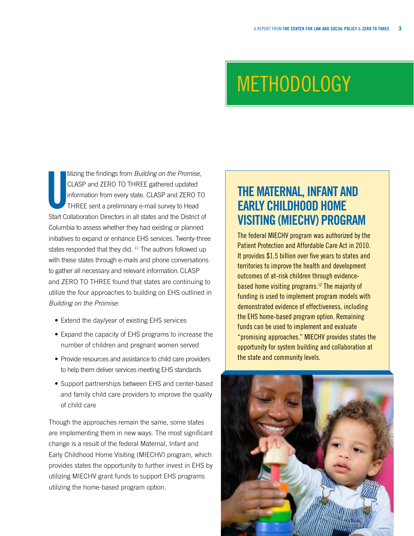# **METHODOLOGY**

Start Co tilizing the findings from *Building on the Promise*, CLASP and ZERO TO THREE gathered updated information from every state. CLASP and ZERO TO THREE sent a preliminary e-mail survey to Head Start Collaboration Directors in all states and the District of Columbia to assess whether they had existing or planned initiatives to expand or enhance EHS services. Twenty-three states responded that they did. <sup>11</sup> The authors followed up with these states through e-mails and phone conversations to gather all necessary and relevant information.CLASP and ZERO TO THREE found that states are continuing to utilize the four approaches to building on EHS outlined in *Building on the Promise*:

- Extend the day/year of existing EHS services
- Expand the capacity of EHS programs to increase the number of children and pregnant women served
- Provide resources and assistance to child care providers to help them deliver services meeting EHS standards
- Support partnerships between EHS and center-based and family child care providers to improve the quality of child care

Though the approaches remain the same, some states are implementing them in new ways. The most significant change is a result of the federal Maternal, Infant and Early Childhood Home Visiting (MIECHV) program, which provides states the opportunity to further invest in EHS by utilizing MIECHV grant funds to support EHS programs utilizing the home-based program option.

## **The Maternal, Infant and Early Childhood Home Visiting (MIECHV) Program**

The federal MIECHV program was authorized by the Patient Protection and Affordable Care Act in 2010. It provides \$1.5 billion over five years to states and territories to improve the health and development outcomes of at-risk children through evidencebased home visiting programs.12 The majority of funding is used to implement program models with demonstrated evidence of effectiveness, including the EHS home-based program option. Remaining funds can be used to implement and evaluate "promising approaches." MIECHV provides states the opportunity for system building and collaboration at the state and community levels.

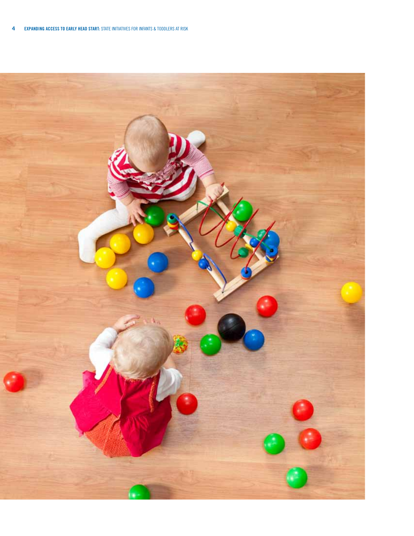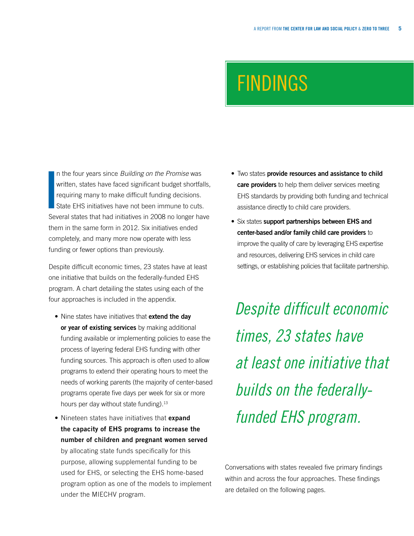## **FINDINGS**

I<br>I<br>Se n the four years since *Building on the Promise* was written, states have faced significant budget shortfalls, requiring many to make difficult funding decisions. State EHS initiatives have not been immune to cuts. Several states that had initiatives in 2008 no longer have them in the same form in 2012. Six initiatives ended completely, and many more now operate with less funding or fewer options than previously.

Despite difficult economic times, 23 states have at least one initiative that builds on the federally-funded EHS program. A chart detailing the states using each of the four approaches is included in the appendix.

- • Nine states have initiatives that **extend the day or year of existing services** by making additional funding available or implementing policies to ease the process of layering federal EHS funding with other funding sources. This approach is often used to allow programs to extend their operating hours to meet the needs of working parents (the majority of center-based programs operate five days per week for six or more hours per day without state funding).<sup>13</sup>
- • Nineteen states have initiatives that **expand the capacity of EHS programs to increase the number of children and pregnant women served** by allocating state funds specifically for this purpose, allowing supplemental funding to be used for EHS, or selecting the EHS home-based program option as one of the models to implement under the MIECHV program.
- **•** Two states **provide resources and assistance to child care providers** to help them deliver services meeting EHS standards by providing both funding and technical assistance directly to child care providers.
- **•** Six states support partnerships between EHS and **center-based and/or family child care providers** to improve the quality of care by leveraging EHS expertise and resources, delivering EHS services in child care settings, or establishing policies that facilitate partnership.

*Despite difficult economic times, 23 states have at least one initiative that builds on the federallyfunded EHS program.*

Conversations with states revealed five primary findings within and across the four approaches. These findings are detailed on the following pages.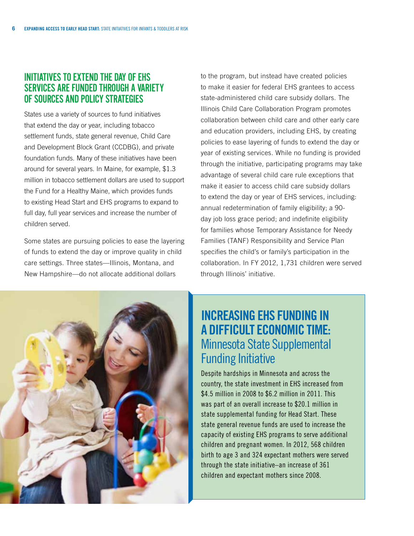### INITIATIVES TO EXTEND THE DAY OF EHS Services Are Funded Through a Variety of Sources and Policy Strategies

States use a variety of sources to fund initiatives that extend the day or year, including tobacco settlement funds, state general revenue, Child Care and Development Block Grant (CCDBG), and private foundation funds. Many of these initiatives have been around for several years. In Maine, for example, \$1.3 million in tobacco settlement dollars are used to support the Fund for a Healthy Maine, which provides funds to existing Head Start and EHS programs to expand to full day, full year services and increase the number of children served.

Some states are pursuing policies to ease the layering of funds to extend the day or improve quality in child care settings. Three states—Illinois, Montana, and New Hampshire—do not allocate additional dollars

to the program, but instead have created policies to make it easier for federal EHS grantees to access state-administered child care subsidy dollars. The Illinois Child Care Collaboration Program promotes collaboration between child care and other early care and education providers, including EHS, by creating policies to ease layering of funds to extend the day or year of existing services. While no funding is provided through the initiative, participating programs may take advantage of several child care rule exceptions that make it easier to access child care subsidy dollars to extend the day or year of EHS services, including: annual redetermination of family eligibility; a 90 day job loss grace period; and indefinite eligibility for families whose Temporary Assistance for Needy Families (TANF) Responsibility and Service Plan specifies the child's or family's participation in the collaboration. In FY 2012, 1,731 children were served through Illinois' initiative.



## **Increasing EHS Funding in a Difficult Economic Time:**  Minnesota State Supplemental Funding Initiative

Despite hardships in Minnesota and across the country, the state investment in EHS increased from \$4.5 million in 2008 to \$6.2 million in 2011. This was part of an overall increase to \$20.1 million in state supplemental funding for Head Start. These state general revenue funds are used to increase the capacity of existing EHS programs to serve additional children and pregnant women. In 2012, 568 children birth to age 3 and 324 expectant mothers were served through the state initiative–an increase of 361 children and expectant mothers since 2008.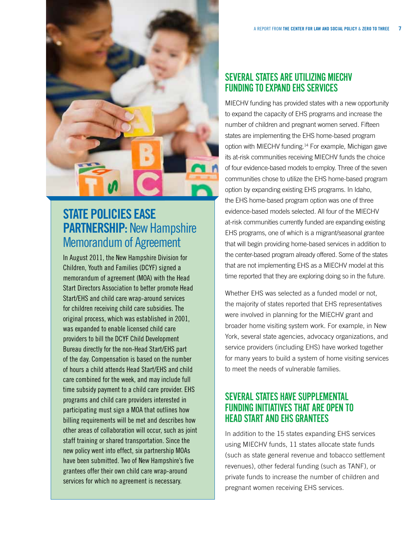

## **State Policies Ease Partnership:** New Hampshire Memorandum of Agreement

In August 2011, the New Hampshire Division for Children, Youth and Families (DCYF) signed a memorandum of agreement (MOA) with the Head Start Directors Association to better promote Head Start/EHS and child care wrap-around services for children receiving child care subsidies. The original process, which was established in 2001, was expanded to enable licensed child care providers to bill the DCYF Child Development Bureau directly for the non-Head Start/EHS part of the day. Compensation is based on the number of hours a child attends Head Start/EHS and child care combined for the week, and may include full time subsidy payment to a child care provider. EHS programs and child care providers interested in participating must sign a MOA that outlines how billing requirements will be met and describes how other areas of collaboration will occur, such as joint staff training or shared transportation. Since the new policy went into effect, six partnership MOAs have been submitted. Two of New Hampshire's five grantees offer their own child care wrap-around services for which no agreement is necessary.

### SEVERAL STATES ARE UTILIZING MIECHV FUNDING TO EXPAND EHS SERVICES

MIECHV funding has provided states with a new opportunity to expand the capacity of EHS programs and increase the number of children and pregnant women served. Fifteen states are implementing the EHS home-based program option with MIECHV funding.14 For example, Michigan gave its at-risk communities receiving MIECHV funds the choice of four evidence-based models to employ. Three of the seven communities chose to utilize the EHS home-based program option by expanding existing EHS programs. In Idaho, the EHS home-based program option was one of three evidence-based models selected. All four of the MIECHV at-risk communities currently funded are expanding existing EHS programs, one of which is a migrant/seasonal grantee that will begin providing home-based services in addition to the center-based program already offered. Some of the states that are not implementing EHS as a MIECHV model at this time reported that they are exploring doing so in the future.

Whether EHS was selected as a funded model or not, the majority of states reported that EHS representatives were involved in planning for the MIECHV grant and broader home visiting system work. For example, in New York, several state agencies, advocacy organizations, and service providers (including EHS) have worked together for many years to build a system of home visiting services to meet the needs of vulnerable families.

### **SEVERAL STATES HAVE SUPPLEMENTAL** FUNDING INITIATIVES THAT ARE OPEN TO HEAD START AND EHS GRANTEES

In addition to the 15 states expanding EHS services using MIECHV funds, 11 states allocate state funds (such as state general revenue and tobacco settlement revenues), other federal funding (such as TANF), or private funds to increase the number of children and pregnant women receiving EHS services.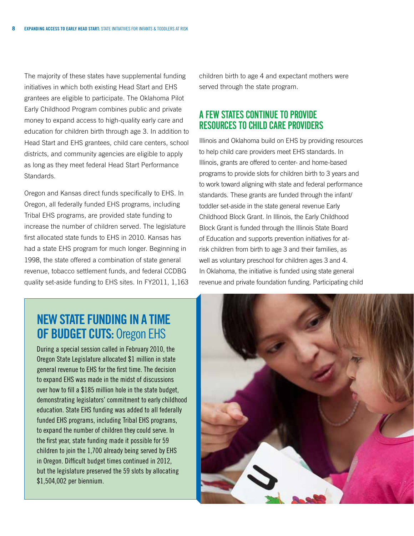The majority of these states have supplemental funding initiatives in which both existing Head Start and EHS grantees are eligible to participate. The Oklahoma Pilot Early Childhood Program combines public and private money to expand access to high-quality early care and education for children birth through age 3. In addition to Head Start and EHS grantees, child care centers, school districts, and community agencies are eligible to apply as long as they meet federal Head Start Performance Standards.

Oregon and Kansas direct funds specifically to EHS. In Oregon, all federally funded EHS programs, including Tribal EHS programs, are provided state funding to increase the number of children served. The legislature first allocated state funds to EHS in 2010. Kansas has had a state EHS program for much longer. Beginning in 1998, the state offered a combination of state general revenue, tobacco settlement funds, and federal CCDBG quality set-aside funding to EHS sites. In FY2011, 1,163 children birth to age 4 and expectant mothers were served through the state program.

### A FEW STATES CONTINUE TO PROVIDE **RESOURCES TO CHILD CARE PROVIDERS**

Illinois and Oklahoma build on EHS by providing resources to help child care providers meet EHS standards. In Illinois, grants are offered to center- and home-based programs to provide slots for children birth to 3 years and to work toward aligning with state and federal performance standards. These grants are funded through the infant/ toddler set-aside in the state general revenue Early Childhood Block Grant. In Illinois, the Early Childhood Block Grant is funded through the Illinois State Board of Education and supports prevention initiatives for atrisk children from birth to age 3 and their families, as well as voluntary preschool for children ages 3 and 4. In Oklahoma, the initiative is funded using state general revenue and private foundation funding. Participating child

## **New State Funding In a Time OF BUDGET CUTS: Oregon EHS**

During a special session called in February 2010, the Oregon State Legislature allocated \$1 million in state general revenue to EHS for the first time. The decision to expand EHS was made in the midst of discussions over how to fill a \$185 million hole in the state budget, demonstrating legislators' commitment to early childhood education. State EHS funding was added to all federally funded EHS programs, including Tribal EHS programs, to expand the number of children they could serve. In the first year, state funding made it possible for 59 children to join the 1,700 already being served by EHS in Oregon. Difficult budget times continued in 2012, but the legislature preserved the 59 slots by allocating \$1,504,002 per biennium.

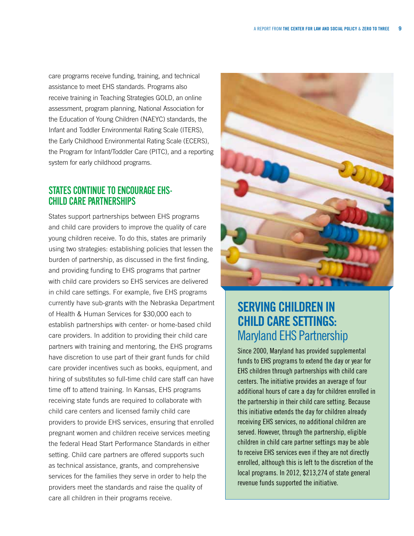care programs receive funding, training, and technical assistance to meet EHS standards. Programs also receive training in Teaching Strategies GOLD, an online assessment, program planning, National Association for the Education of Young Children (NAEYC) standards, the Infant and Toddler Environmental Rating Scale (ITERS), the Early Childhood Environmental Rating Scale (ECERS), the Program for Infant/Toddler Care (PITC), and a reporting system for early childhood programs.

## STATES CONTINUE TO ENCOURAGE EHS-<br>CHILD CARE PARTNERSHIPS

States support partnerships between EHS programs and child care providers to improve the quality of care young children receive. To do this, states are primarily using two strategies: establishing policies that lessen the burden of partnership, as discussed in the first finding, and providing funding to EHS programs that partner with child care providers so EHS services are delivered in child care settings. For example, five EHS programs currently have sub-grants with the Nebraska Department of Health & Human Services for \$30,000 each to establish partnerships with center- or home-based child care providers. In addition to providing their child care partners with training and mentoring, the EHS programs have discretion to use part of their grant funds for child care provider incentives such as books, equipment, and hiring of substitutes so full-time child care staff can have time off to attend training. In Kansas, EHS programs receiving state funds are required to collaborate with child care centers and licensed family child care providers to provide EHS services, ensuring that enrolled pregnant women and children receive services meeting the federal Head Start Performance Standards in either setting. Child care partners are offered supports such as technical assistance, grants, and comprehensive services for the families they serve in order to help the providers meet the standards and raise the quality of care all children in their programs receive.



## **Serving Children in Child Care Settings:**  Maryland EHS Partnership

Since 2000, Maryland has provided supplemental funds to EHS programs to extend the day or year for EHS children through partnerships with child care centers. The initiative provides an average of four additional hours of care a day for children enrolled in the partnership in their child care setting. Because this initiative extends the day for children already receiving EHS services, no additional children are served. However, through the partnership, eligible children in child care partner settings may be able to receive EHS services even if they are not directly enrolled, although this is left to the discretion of the local programs. In 2012, \$213,274 of state general revenue funds supported the initiative.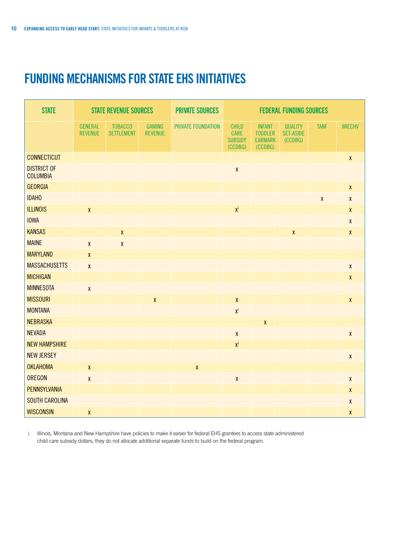## **Funding Mechanisms for State EHS Initiatives**

| <b>STATE</b>                          | <b>STATE REVENUE SOURCES</b>     |                                     | <b>PRIVATE SOURCES</b>          | <b>FEDERAL FUNDING SOURCES</b> |                                                   |                                                              |                                               |              |               |
|---------------------------------------|----------------------------------|-------------------------------------|---------------------------------|--------------------------------|---------------------------------------------------|--------------------------------------------------------------|-----------------------------------------------|--------------|---------------|
|                                       | <b>GENERAL</b><br><b>REVENUE</b> | <b>TOBACCO</b><br><b>SETTLEMENT</b> | <b>GAMING</b><br><b>REVENUE</b> | PRIVATE FOUNDATION             | <b>CHILD</b><br>CARE<br><b>SUBSIDY</b><br>(CCDBG) | <b>INFANT</b><br><b>TODDLER</b><br><b>EARMARK</b><br>(CCDBG) | <b>QUALITY</b><br><b>SET-ASIDE</b><br>(CCDBG) | <b>TANF</b>  | <b>MIECHV</b> |
| <b>CONNECTICUT</b>                    |                                  |                                     |                                 |                                |                                                   |                                                              |                                               |              | $\pmb{\chi}$  |
| <b>DISTRICT OF</b><br><b>COLUMBIA</b> |                                  |                                     |                                 |                                | $\pmb{\chi}$                                      |                                                              |                                               |              |               |
| <b>GEORGIA</b>                        |                                  |                                     |                                 |                                |                                                   |                                                              |                                               |              | $\pmb{\chi}$  |
| <b>IDAHO</b>                          |                                  |                                     |                                 |                                |                                                   |                                                              |                                               | $\pmb{\chi}$ | $\pmb{\chi}$  |
| <b>ILLINOIS</b>                       | $\pmb{\chi}$                     |                                     |                                 |                                | $x^i$                                             |                                                              |                                               |              | $\pmb{\chi}$  |
| <b>IOWA</b>                           |                                  |                                     |                                 |                                |                                                   |                                                              |                                               |              | $\pmb{\chi}$  |
| <b>KANSAS</b>                         |                                  | $\pmb{\chi}$                        |                                 |                                |                                                   |                                                              | $\mathsf{X}$                                  |              | $\pmb{\chi}$  |
| <b>MAINE</b>                          | $\pmb{\chi}$                     | $\pmb{\chi}$                        |                                 |                                |                                                   |                                                              |                                               |              |               |
| <b>MARYLAND</b>                       | $\pmb{\chi}$                     |                                     |                                 |                                |                                                   |                                                              |                                               |              |               |
| <b>MASSACHUSETTS</b>                  | $\pmb{\chi}$                     |                                     |                                 |                                |                                                   |                                                              |                                               |              | $\pmb{\chi}$  |
| <b>MICHIGAN</b>                       |                                  |                                     |                                 |                                |                                                   |                                                              |                                               |              | $\pmb{\chi}$  |
| <b>MINNESOTA</b>                      | $\pmb{\mathsf{X}}$               |                                     |                                 |                                |                                                   |                                                              |                                               |              |               |
| <b>MISSOURI</b>                       |                                  |                                     | $\pmb{\chi}$                    |                                | $\pmb{\chi}$                                      |                                                              |                                               |              | $\pmb{\chi}$  |
| <b>MONTANA</b>                        |                                  |                                     |                                 |                                | $x^i$                                             |                                                              |                                               |              |               |
| <b>NEBRASKA</b>                       |                                  |                                     |                                 |                                |                                                   | $\pmb{\chi}$                                                 |                                               |              |               |
| <b>NEVADA</b>                         |                                  |                                     |                                 |                                | $\mathsf{X}$                                      |                                                              |                                               |              | $\pmb{\chi}$  |
| <b>NEW HAMPSHIRE</b>                  |                                  |                                     |                                 |                                | $\mathbf{X}^\text{i}$                             |                                                              |                                               |              |               |
| <b>NEW JERSEY</b>                     |                                  |                                     |                                 |                                |                                                   |                                                              |                                               |              | $\pmb{\chi}$  |
| <b>OKLAHOMA</b>                       | $\mathsf{X}$                     |                                     |                                 | $\pmb{\chi}$                   |                                                   |                                                              |                                               |              |               |
| <b>OREGON</b>                         | $\pmb{\chi}$                     |                                     |                                 |                                | $\pmb{\chi}$                                      |                                                              |                                               |              | $\pmb{\chi}$  |
| <b>PENNSYLVANIA</b>                   |                                  |                                     |                                 |                                |                                                   |                                                              |                                               |              | $\pmb{\chi}$  |
| <b>SOUTH CAROLINA</b>                 |                                  |                                     |                                 |                                |                                                   |                                                              |                                               |              | $\pmb{\chi}$  |
| <b>WISCONSIN</b>                      | $\pmb{\chi}$                     |                                     |                                 |                                |                                                   |                                                              |                                               |              | $\pmb{\chi}$  |

i. Illinois, Montana and New Hampshire have policies to make it easier for federal EHS grantees to access state administered child care subsidy dollars; they do not allocate additional separate funds to build on the federal program.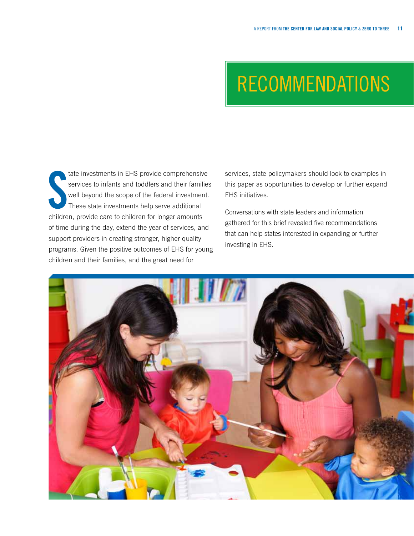# **RECOMMENDATIONS**

S<br>Childre tate investments in EHS provide comprehensive services to infants and toddlers and their families well beyond the scope of the federal investment. These state investments help serve additional children, provide care to children for longer amounts of time during the day, extend the year of services, and support providers in creating stronger, higher quality programs. Given the positive outcomes of EHS for young children and their families, and the great need for

services, state policymakers should look to examples in this paper as opportunities to develop or further expand EHS initiatives.

Conversations with state leaders and information gathered for this brief revealed five recommendations that can help states interested in expanding or further investing in EHS.

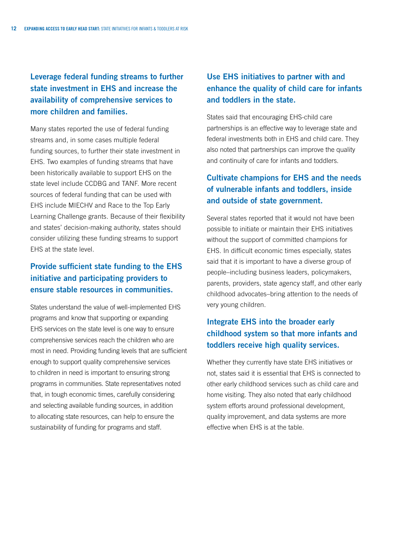**Leverage federal funding streams to further state investment in EHS and increase the availability of comprehensive services to more children and families.** 

Many states reported the use of federal funding streams and, in some cases multiple federal funding sources, to further their state investment in EHS. Two examples of funding streams that have been historically available to support EHS on the state level include CCDBG and TANF. More recent sources of federal funding that can be used with EHS include MIECHV and Race to the Top Early Learning Challenge grants. Because of their flexibility and states' decision-making authority, states should consider utilizing these funding streams to support EHS at the state level.

#### **Provide sufficient state funding to the EHS initiative and participating providers to ensure stable resources in communities.**

States understand the value of well-implemented EHS programs and know that supporting or expanding EHS services on the state level is one way to ensure comprehensive services reach the children who are most in need. Providing funding levels that are sufficient enough to support quality comprehensive services to children in need is important to ensuring strong programs in communities. State representatives noted that, in tough economic times, carefully considering and selecting available funding sources, in addition to allocating state resources, can help to ensure the sustainability of funding for programs and staff.

#### **Use EHS initiatives to partner with and enhance the quality of child care for infants and toddlers in the state.**

States said that encouraging EHS-child care partnerships is an effective way to leverage state and federal investments both in EHS and child care. They also noted that partnerships can improve the quality and continuity of care for infants and toddlers.

#### **Cultivate champions for EHS and the needs of vulnerable infants and toddlers, inside and outside of state government.**

Several states reported that it would not have been possible to initiate or maintain their EHS initiatives without the support of committed champions for EHS. In difficult economic times especially, states said that it is important to have a diverse group of people–including business leaders, policymakers, parents, providers, state agency staff, and other early childhood advocates–bring attention to the needs of very young children.

#### **Integrate EHS into the broader early childhood system so that more infants and toddlers receive high quality services.**

Whether they currently have state EHS initiatives or not, states said it is essential that EHS is connected to other early childhood services such as child care and home visiting. They also noted that early childhood system efforts around professional development, quality improvement, and data systems are more effective when EHS is at the table.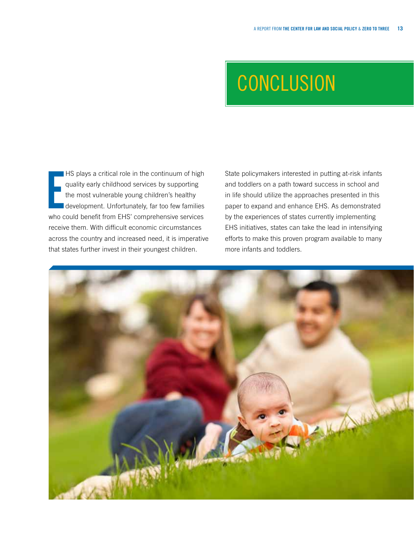# **CONCLUSION**

E<br>
who c HS plays a critical role in the continuum of high quality early childhood services by supporting the most vulnerable young children's healthy development. Unfortunately, far too few families who could benefit from EHS' comprehensive services receive them. With difficult economic circumstances across the country and increased need, it is imperative that states further invest in their youngest children.

State policymakers interested in putting at-risk infants and toddlers on a path toward success in school and in life should utilize the approaches presented in this paper to expand and enhance EHS. As demonstrated by the experiences of states currently implementing EHS initiatives, states can take the lead in intensifying efforts to make this proven program available to many more infants and toddlers.

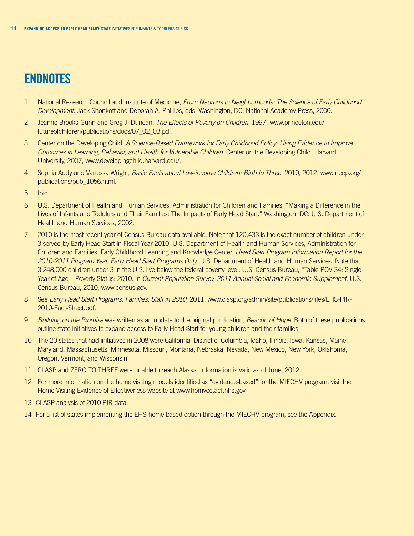## **Endnotes**

- 1 National Research Council and Institute of Medicine, *From Neurons to Neighborhoods: The Science of Early Childhood Development*. Jack Shonkoff and Deborah A. Phillips, eds. Washington, DC: National Academy Press, 2000.
- 2 Jeanne Brooks-Gunn and Greg J. Duncan, *The Effects of Poverty on Children*, 1997, [www.princeton.edu/](https://www.princeton.edu/futureofchildren/publications/docs/07_02_03.pdf) [futureofchildren/publications/docs/07\\_02\\_03.pdf.](https://www.princeton.edu/futureofchildren/publications/docs/07_02_03.pdf)
- 3 Center on the Developing Child, *A Science-Based Framework for Early Childhood Policy: Using Evidence to Improve Outcomes in Learning, Behavior, and Health for Vulnerable Children*. Center on the Developing Child, Harvard University, 2007, [www.developingchild.harvard.edu/](www.developingchild.harvard.edu).
- 4 Sophia Addy and Vanessa Wright, *Basic Facts about Low-income Children: Birth to Three*, 2010, 2012, www[.nccp.org/](http://nccp.org/publications/pub_1056.html) [publications/pub\\_1056.html.](http://nccp.org/publications/pub_1056.html)
- 5 Ibid.
- 6 U.S. Department of Health and Human Services, Administration for Children and Families, "Making a Difference in the Lives of Infants and Toddlers and Their Families: The Impacts of Early Head Start." Washington, DC: U.S. Department of Health and Human Services, 2002.
- 7 2010 is the most recent year of Census Bureau data available. Note that 120,433 is the exact number of children under 3 served by Early Head Start in Fiscal Year 2010. U.S. Department of Health and Human Services, Administration for Children and Families, Early Childhood Learning and Knowledge Center, *Head Start Program Information Report for the 2010-2011 Program Year, Early Head Start Programs Only*. U.S. Department of Health and Human Services. Note that 3,248,000 children under 3 in the U.S. live below the federal poverty level. U.S. Census Bureau, "Table POV 34: Single Year of Age – Poverty Status: 2010. In *Current Population Survey, 2011 Annual Social and Economic Supplement*. U.S. Census Bureau, 2010, [www.census.gov.](http://www.census.gov)
- 8 See *Early Head Start Programs, Families, Staff in 2010,* 2011, [www.clasp.org/admin/site/publications/files/EHS-PIR-](http://www.clasp.org/admin/site/publications/files/EHS-PIR-2010-Fact-Sheet.pdf)[2010-Fact-Sheet.pdf.](http://www.clasp.org/admin/site/publications/files/EHS-PIR-2010-Fact-Sheet.pdf)
- 9 *Building on the Promise* was written as an update to the original publication, *Beacon of Hope*. Both of these publications outline state initiatives to expand access to Early Head Start for young children and their families.
- 10 The 20 states that had initiatives in 2008 were California, District of Columbia, Idaho, Illinois, Iowa, Kansas, Maine, Maryland, Massachusetts, Minnesota, Missouri, Montana, Nebraska, Nevada, New Mexico, New York, Oklahoma, Oregon, Vermont, and Wisconsin.
- 11 CLASP and ZERO TO THREE were unable to reach Alaska. Information is valid as of June, 2012.
- 12 For more information on the home visiting models identified as "evidence-based" for the MIECHV program, visit the Home Visiting Evidence of Effectiveness website at [www.homvee.acf.hhs.gov.](www.homvee.acf.hhs.gov)
- 13 CLASP analysis of 2010 PIR data.
- 14 For a list of states implementing the EHS-home based option through the MIECHV program, see the Appendix.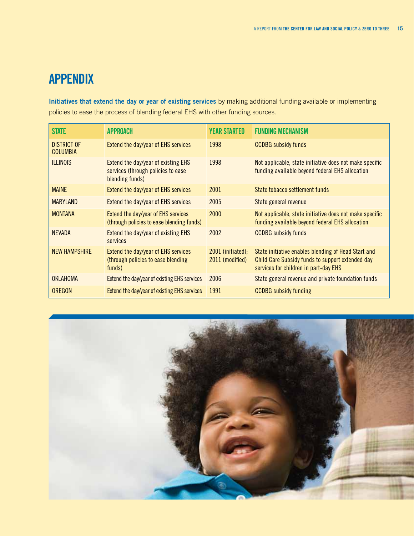## **Appendix**

**Initiatives that extend the day or year of existing services** by making additional funding available or implementing policies to ease the process of blending federal EHS with other funding sources.

| <b>STATE</b>                          | <b>APPROACH</b>                                                                              | <b>YEAR STARTED</b>                    | <b>FUNDING MECHANISM</b>                                                                                                                         |
|---------------------------------------|----------------------------------------------------------------------------------------------|----------------------------------------|--------------------------------------------------------------------------------------------------------------------------------------------------|
| <b>DISTRICT OF</b><br><b>COLUMBIA</b> | Extend the day/year of EHS services                                                          | 1998                                   | <b>CCDBG</b> subsidy funds                                                                                                                       |
| <b>ILLINOIS</b>                       | Extend the day/year of existing EHS<br>services (through policies to ease<br>blending funds) | 1998                                   | Not applicable, state initiative does not make specific<br>funding available beyond federal EHS allocation                                       |
| <b>MAINE</b>                          | Extend the day/year of EHS services                                                          | 2001                                   | State tobacco settlement funds                                                                                                                   |
| <b>MARYLAND</b>                       | Extend the day/year of EHS services                                                          | 2005                                   | State general revenue                                                                                                                            |
| <b>MONTANA</b>                        | Extend the day/year of EHS services<br>(through policies to ease blending funds)             | 2000                                   | Not applicable, state initiative does not make specific<br>funding available beyond federal EHS allocation                                       |
| <b>NEVADA</b>                         | Extend the day/year of existing EHS<br>services                                              | 2002                                   | <b>CCDBG</b> subsidy funds                                                                                                                       |
| <b>NEW HAMPSHIRE</b>                  | Extend the day/year of EHS services<br>(through policies to ease blending<br>funds)          | $2001$ (initiated);<br>2011 (modified) | State initiative enables blending of Head Start and<br>Child Care Subsidy funds to support extended day<br>services for children in part-day EHS |
| <b>OKLAHOMA</b>                       | Extend the day/year of existing EHS services                                                 | 2006                                   | State general revenue and private foundation funds                                                                                               |
| <b>OREGON</b>                         | Extend the day/year of existing EHS services                                                 | 1991                                   | <b>CCDBG</b> subsidy funding                                                                                                                     |

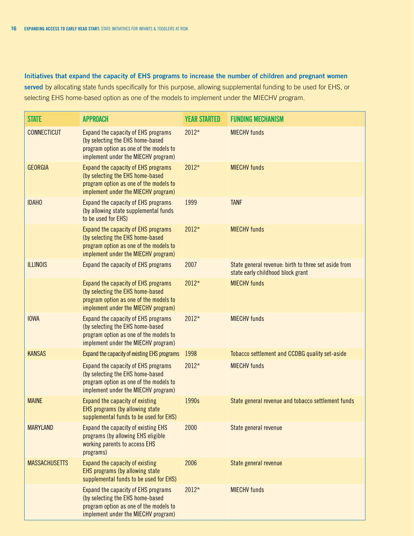#### **Initiatives that expand the capacity of EHS programs to increase the number of children and pregnant women served** by allocating state funds specifically for this purpose, allowing supplemental funding to be used for EHS, or selecting EHS home-based option as one of the models to implement under the MIECHV program.

| <b>STATE</b>         | <b>APPROACH</b>                                                                                                                                                 | <b>YEAR STARTED</b> | <b>FUNDING MECHANISM</b>                                                                  |
|----------------------|-----------------------------------------------------------------------------------------------------------------------------------------------------------------|---------------------|-------------------------------------------------------------------------------------------|
| <b>CONNECTICUT</b>   | <b>Expand the capacity of EHS programs</b><br>(by selecting the EHS home-based<br>program option as one of the models to<br>implement under the MIECHV program) | 2012*               | <b>MIECHV</b> funds                                                                       |
| <b>GEORGIA</b>       | <b>Expand the capacity of EHS programs</b><br>(by selecting the EHS home-based<br>program option as one of the models to<br>implement under the MIECHV program) | 2012*               | <b>MIECHV funds</b>                                                                       |
| <b>IDAHO</b>         | <b>Expand the capacity of EHS programs</b><br>(by allowing state supplemental funds<br>to be used for EHS)                                                      | 1999                | <b>TANF</b>                                                                               |
|                      | Expand the capacity of EHS programs<br>(by selecting the EHS home-based<br>program option as one of the models to<br>implement under the MIECHV program)        | 2012*               | <b>MIECHV</b> funds                                                                       |
| <b>ILLINOIS</b>      | <b>Expand the capacity of EHS programs</b>                                                                                                                      | 2007                | State general revenue: birth to three set aside from<br>state early childhood block grant |
|                      | Expand the capacity of EHS programs<br>(by selecting the EHS home-based<br>program option as one of the models to<br>implement under the MIECHV program)        | 2012*               | <b>MIECHV funds</b>                                                                       |
| <b>IOWA</b>          | <b>Expand the capacity of EHS programs</b><br>(by selecting the EHS home-based<br>program option as one of the models to<br>implement under the MIECHV program) | 2012*               | <b>MIECHV</b> funds                                                                       |
| <b>KANSAS</b>        | <b>Expand the capacity of existing EHS programs</b>                                                                                                             | 1998                | Tobacco settlement and CCDBG quality set-aside                                            |
|                      | <b>Expand the capacity of EHS programs</b><br>(by selecting the EHS home-based<br>program option as one of the models to<br>implement under the MIECHV program) | 2012*               | <b>MIECHV funds</b>                                                                       |
| <b>MAINE</b>         | Expand the capacity of existing<br>EHS programs (by allowing state<br>supplemental funds to be used for EHS)                                                    | 1990s               | State general revenue and tobacco settlement funds                                        |
| <b>MARYLAND</b>      | <b>Expand the capacity of existing EHS</b><br>programs (by allowing EHS eligible<br>working parents to access EHS<br>programs)                                  | 2000                | State general revenue                                                                     |
| <b>MASSACHUSETTS</b> | Expand the capacity of existing<br>EHS programs (by allowing state<br>supplemental funds to be used for EHS)                                                    | 2006                | State general revenue                                                                     |
|                      | <b>Expand the capacity of EHS programs</b><br>(by selecting the EHS home-based<br>program option as one of the models to<br>implement under the MIECHV program) | 2012*               | <b>MIECHV funds</b>                                                                       |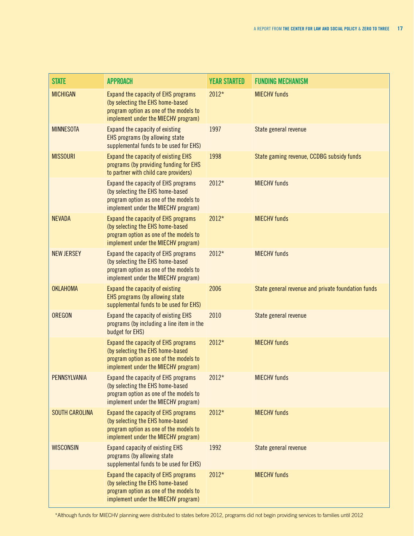| <b>STATE</b>          | <b>APPROACH</b>                                                                                                                                                 | <b>YEAR STARTED</b> | <b>FUNDING MECHANISM</b>                           |
|-----------------------|-----------------------------------------------------------------------------------------------------------------------------------------------------------------|---------------------|----------------------------------------------------|
| <b>MICHIGAN</b>       | Expand the capacity of EHS programs<br>(by selecting the EHS home-based<br>program option as one of the models to<br>implement under the MIECHV program)        | $2012*$             | <b>MIECHV funds</b>                                |
| <b>MINNESOTA</b>      | Expand the capacity of existing<br>EHS programs (by allowing state<br>supplemental funds to be used for EHS)                                                    | 1997                | State general revenue                              |
| <b>MISSOURI</b>       | Expand the capacity of existing EHS<br>programs (by providing funding for EHS<br>to partner with child care providers)                                          | 1998                | State gaming revenue, CCDBG subsidy funds          |
|                       | <b>Expand the capacity of EHS programs</b><br>(by selecting the EHS home-based<br>program option as one of the models to<br>implement under the MIECHV program) | 2012*               | <b>MIECHV</b> funds                                |
| <b>NEVADA</b>         | Expand the capacity of EHS programs<br>(by selecting the EHS home-based<br>program option as one of the models to<br>implement under the MIECHV program)        | 2012*               | <b>MIECHV funds</b>                                |
| <b>NEW JERSEY</b>     | <b>Expand the capacity of EHS programs</b><br>(by selecting the EHS home-based<br>program option as one of the models to<br>implement under the MIECHV program) | 2012*               | <b>MIECHV</b> funds                                |
| <b>OKLAHOMA</b>       | Expand the capacity of existing<br>EHS programs (by allowing state<br>supplemental funds to be used for EHS)                                                    | 2006                | State general revenue and private foundation funds |
| <b>OREGON</b>         | Expand the capacity of existing EHS<br>programs (by including a line item in the<br>budget for EHS)                                                             | 2010                | State general revenue                              |
|                       | Expand the capacity of EHS programs<br>(by selecting the EHS home-based<br>program option as one of the models to<br>implement under the MIECHV program)        | 2012*               | <b>MIECHV funds</b>                                |
| PENNSYLVANIA          | Expand the capacity of EHS programs<br>(by selecting the EHS home-based<br>program option as one of the models to<br>implement under the MIECHV program)        | 2012*               | <b>MIECHV</b> funds                                |
| <b>SOUTH CAROLINA</b> | Expand the capacity of EHS programs<br>(by selecting the EHS home-based<br>program option as one of the models to<br>implement under the MIECHV program)        | 2012*               | <b>MIECHV funds</b>                                |
| <b>WISCONSIN</b>      | <b>Expand capacity of existing EHS</b><br>programs (by allowing state<br>supplemental funds to be used for EHS)                                                 | 1992                | State general revenue                              |
|                       | <b>Expand the capacity of EHS programs</b><br>(by selecting the EHS home-based<br>program option as one of the models to<br>implement under the MIECHV program) | 2012*               | <b>MIECHV funds</b>                                |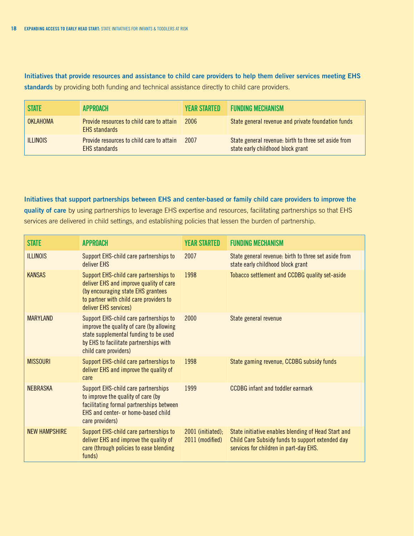**Initiatives that provide resources and assistance to child care providers to help them deliver services meeting EHS standards** by providing both funding and technical assistance directly to child care providers.

| I STATE         | <b>APPROACH</b>                                                   | <b>YEAR STARTED</b> | <b>FUNDING MECHANISM</b>                                                                  |
|-----------------|-------------------------------------------------------------------|---------------------|-------------------------------------------------------------------------------------------|
| OKI AHOMA       | Provide resources to child care to attain<br><b>FHS</b> standards | 2006                | State general revenue and private foundation funds                                        |
| <b>ILLINOIS</b> | Provide resources to child care to attain<br><b>EHS standards</b> | 2007                | State general revenue: birth to three set aside from<br>state early childhood block grant |

**Initiatives that support partnerships between EHS and center-based or family child care providers to improve the quality of care** by using partnerships to leverage EHS expertise and resources, facilitating partnerships so that EHS services are delivered in child settings, and establishing policies that lessen the burden of partnership.

| <b>STATE</b>         | <b>APPROACH</b>                                                                                                                                                                                | <b>YEAR STARTED</b>                    | <b>FUNDING MECHANISM</b>                                                                                                                          |
|----------------------|------------------------------------------------------------------------------------------------------------------------------------------------------------------------------------------------|----------------------------------------|---------------------------------------------------------------------------------------------------------------------------------------------------|
| <b>ILLINOIS</b>      | Support EHS-child care partnerships to<br>deliver EHS                                                                                                                                          | 2007                                   | State general revenue: birth to three set aside from<br>state early childhood block grant                                                         |
| <b>KANSAS</b>        | Support EHS-child care partnerships to<br>deliver EHS and improve quality of care<br>(by encouraging state EHS grantees<br>to partner with child care providers to<br>deliver EHS services)    | 1998                                   | Tobacco settlement and CCDBG quality set-aside                                                                                                    |
| <b>MARYLAND</b>      | Support EHS-child care partnerships to<br>improve the quality of care (by allowing<br>state supplemental funding to be used<br>by EHS to facilitate partnerships with<br>child care providers) | 2000                                   | State general revenue                                                                                                                             |
| <b>MISSOURI</b>      | Support EHS-child care partnerships to<br>deliver EHS and improve the quality of<br>care                                                                                                       | 1998                                   | State gaming revenue, CCDBG subsidy funds                                                                                                         |
| <b>NFBRASKA</b>      | Support EHS-child care partnerships<br>to improve the quality of care (by<br>facilitating formal partnerships between<br>FHS and center- or home-based child<br>care providers)                | 1999                                   | <b>CCDBG</b> infant and toddler earmark                                                                                                           |
| <b>NEW HAMPSHIRE</b> | Support EHS-child care partnerships to<br>deliver EHS and improve the quality of<br>care (through policies to ease blending<br>funds)                                                          | $2001$ (initiated);<br>2011 (modified) | State initiative enables blending of Head Start and<br>Child Care Subsidy funds to support extended day<br>services for children in part-day EHS. |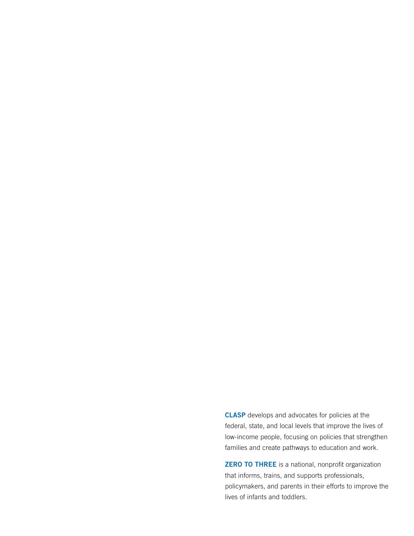**CLASP** develops and advocates for policies at the federal, state, and local levels that improve the lives of low-income people, focusing on policies that strengthen families and create pathways to education and work.

**ZERO TO THREE** is a national, nonprofit organization that informs, trains, and supports professionals, policymakers, and parents in their efforts to improve the lives of infants and toddlers.